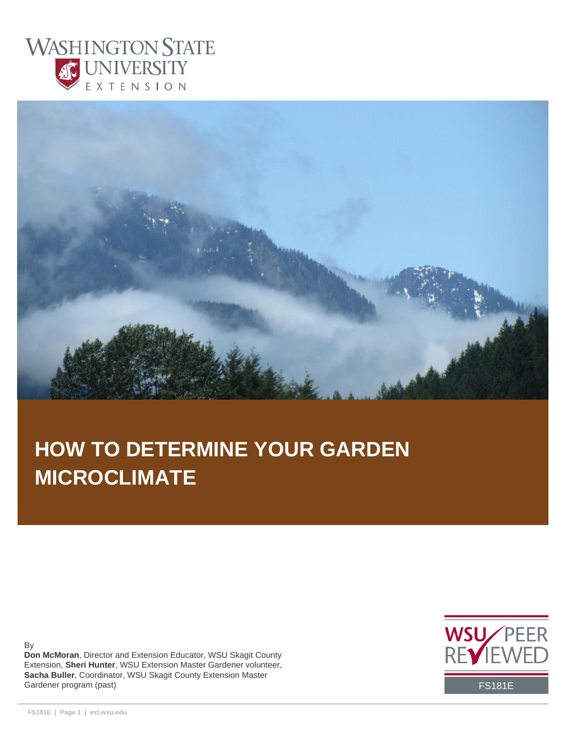



# **HOW TO DETERMINE YOUR GARDEN MICROCLIMATE**

By

**Don McMoran**, Director and Extension Educator, WSU Skagit County Extension, **Sheri Hunter**, WSU Extension Master Gardener volunteer, **Sacha Buller**, Coordinator, WSU Skagit County Extension Master Gardener program (past) FS181E

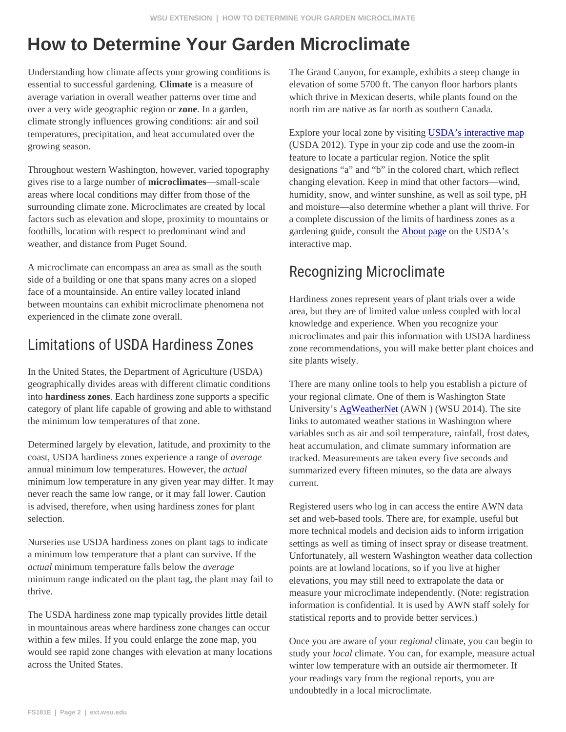# How to Determine Your Garden Microclimate

essential to successful gardening mate is a measure of average variation in overall weather patterns over time and over a very wide geographic regionzome In a garden, climate strongly influences growing conditions: air and soil temperatures, precipitation, and heat accumulated over the growing season.

Throughout western Washington, however, varied topographylesignations "a" and "b" in the colored chart, which reflect gives rise to a large number *microclimates*—small-scale areas where local conditions may differ from those of the foothills, location with respect to predominant wind and weather, and distance from Puget Sound.

side of a building or one that spans many acres on a sloped face of a mountainside. An entire valley located inland experienced in the climate zone overall.

Understanding how climate affects your growing conditions is The Grand Canyon, for example, exhibits a steep change in elevation of some 5700 ft. The canyon floor harbors plants which thrive in Mexican deserts, while plants found on the north rim are native as far north as southern Canada.

> Explore your local zone by visiting SDA's interactive map (USDA 2012). Type in your zip code and use the zoom-in feature to locate a particular region. Notice the split

surrounding climate zone. Microclimates are created by localand moisture—also determine whether a plant will thrive. For factors such as elevation and slope, proximity to mountains oa complete discussion of the limits of hardiness zones as a changing elevation. Keep in mind that other factors—wind, humidity, snow, and winter sunshine, as well as soil type, pH gardening guide, consult the bout page on the USDA's interactive map.

# A microclimate can encompass an area as small as the south  $R$  e c o g n i z i n g  $\,$  M i c r o c l i m a t e side of a building or one that spans many acros on a sloped  $\,R$  e c o g n i z i n g  $\,$  M i c r o c l i m

between mountains can exhibit microclimate phenomena not Hardiness zones represent years of plant trials over a wide Limitations of USDA Hardiness and participate in the medicine of the contractors and area, but they are of limited value unless coupled with local knowledge and experience. When you recognize your microclimates and pair this information with USDA hardiness site plants wisely.

In the United States, the Department of Agriculture (USDA) geographically divides areas with different climatic conditions There are many online tools to help you establish a picture of into hardiness zonesEach hardiness zone supports a specificyour regional climate. One of them is Washington State category of plant life capable of growing and able to withstandUniversity's [AgWeatherNe](http://www.weather.wsu.edu./)t(AWN)(WSU 2014). The site the minimum low temperatures of that zone. links to automated weather stations in Washington where variables such as air and soil temperature, rainfall, frost dates,

Determined largely by elevation, latitude, and proximity to the heat accumulation, and climate summary information are coast, USDA hardiness zones experience a rangeemage annual minimum low temperatures. However, abtual minimum low temperature in any given year may differ. It may urrent. never reach the same low range, or it may fall lower. Caution tracked. Measurements are taken every five seconds and summarized every fifteen minutes, so the data are always

selection.

Nurseries use USDA hardiness zones on plant tags to indicateettings as well as timing of insect spray or disease treatment. a minimum low temperature that a plant can survive. If the actual minimum temperature falls below the erage minimum range indicated on the plant tag, the plant may fail to levations, you may still need to extrapolate the data or thrive.

is advised, therefore, when using hardiness zones for plant Registered users who log in can access the entire AWN data set and web-based tools. There are, for example, useful but more technical models and decision aids to inform irrigation

> Unfortunately, all western Washington weather data collection points are at lowland locations, so if you live at higher measure your microclimate independently. (Note: registration information is confidential. It is used by AWN staff solely for

undoubtedly in a local microclimate.

The USDA hardiness zone map typically provides little detail <sub>Statistical reports and to provide better services.)</sub> in mountainous areas where hardiness zone changes can occur within a few miles. If you could enlarge the zone map, you would see rapid zone changes with elevation at many locationsudy yourlocal climate. You can, for example, measure actual across the United States. Once you are aware of your gional climate, you can begin to winter low temperature with an outside air thermometer. If your readings vary from the regional reports, you are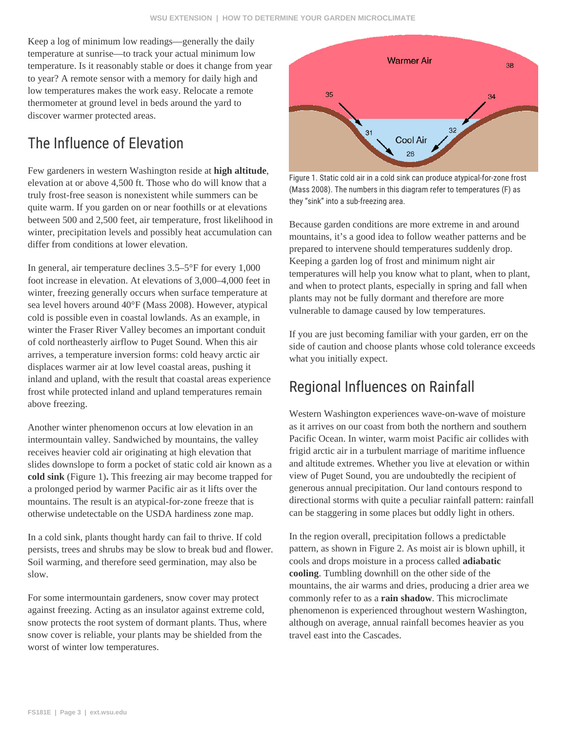Keep a log of minimum low readings—generally the daily temperature at sunrise—to track your actual minimum low temperature. Is it reasonably stable or does it change from year to year? A remote sensor with a memory for daily high and low temperatures makes the work easy. Relocate a remote thermometer at ground level in beds around the yard to discover warmer protected areas.

## The Influence of Elevation

Few gardeners in western Washington reside at **high altitude**, elevation at or above 4,500 ft. Those who do will know that a truly frost-free season is nonexistent while summers can be quite warm. If you garden on or near foothills or at elevations between 500 and 2,500 feet, air temperature, frost likelihood in winter, precipitation levels and possibly heat accumulation can differ from conditions at lower elevation.

In general, air temperature declines 3.5–5°F for every 1,000 foot increase in elevation. At elevations of 3,000–4,000 feet in winter, freezing generally occurs when surface temperature at sea level hovers around 40°F (Mass 2008). However, atypical cold is possible even in coastal lowlands. As an example, in winter the Fraser River Valley becomes an important conduit of cold northeasterly airflow to Puget Sound. When this air arrives, a temperature inversion forms: cold heavy arctic air displaces warmer air at low level coastal areas, pushing it inland and upland, with the result that coastal areas experience frost while protected inland and upland temperatures remain above freezing.

Another winter phenomenon occurs at low elevation in an intermountain valley. Sandwiched by mountains, the valley receives heavier cold air originating at high elevation that slides downslope to form a pocket of static cold air known as a **cold sink** (Figure 1)**.** This freezing air may become trapped for a prolonged period by warmer Pacific air as it lifts over the mountains. The result is an atypical-for-zone freeze that is otherwise undetectable on the USDA hardiness zone map.

In a cold sink, plants thought hardy can fail to thrive. If cold persists, trees and shrubs may be slow to break bud and flower. Soil warming, and therefore seed germination, may also be slow.

For some intermountain gardeners, snow cover may protect against freezing. Acting as an insulator against extreme cold, snow protects the root system of dormant plants. Thus, where snow cover is reliable, your plants may be shielded from the worst of winter low temperatures.



Figure 1. Static cold air in a cold sink can produce atypical-for-zone frost (Mass 2008). The numbers in this diagram refer to temperatures (F) as they "sink" into a sub-freezing area.

Because garden conditions are more extreme in and around mountains, it's a good idea to follow weather patterns and be prepared to intervene should temperatures suddenly drop. Keeping a garden log of frost and minimum night air temperatures will help you know what to plant, when to plant, and when to protect plants, especially in spring and fall when plants may not be fully dormant and therefore are more vulnerable to damage caused by low temperatures.

If you are just becoming familiar with your garden, err on the side of caution and choose plants whose cold tolerance exceeds what you initially expect.

#### Regional Influences on Rainfall

Western Washington experiences wave-on-wave of moisture as it arrives on our coast from both the northern and southern Pacific Ocean. In winter, warm moist Pacific air collides with frigid arctic air in a turbulent marriage of maritime influence and altitude extremes. Whether you live at elevation or within view of Puget Sound, you are undoubtedly the recipient of generous annual precipitation. Our land contours respond to directional storms with quite a peculiar rainfall pattern: rainfall can be staggering in some places but oddly light in others.

In the region overall, precipitation follows a predictable pattern, as shown in Figure 2. As moist air is blown uphill, it cools and drops moisture in a process called **adiabatic cooling**. Tumbling downhill on the other side of the mountains, the air warms and dries, producing a drier area we commonly refer to as a **rain shadow**. This microclimate phenomenon is experienced throughout western Washington, although on average, annual rainfall becomes heavier as you travel east into the Cascades.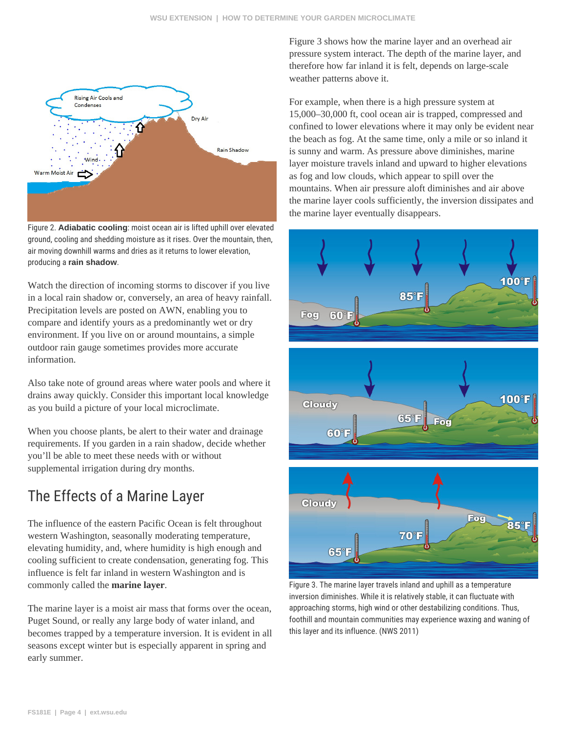

Figure 2. **Adiabatic cooling**: moist ocean air is lifted uphill over elevated ground, cooling and shedding moisture as it rises. Over the mountain, then, air moving downhill warms and dries as it returns to lower elevation, producing a **rain shadow**.

Watch the direction of incoming storms to discover if you live in a local rain shadow or, conversely, an area of heavy rainfall. Precipitation levels are posted on AWN, enabling you to compare and identify yours as a predominantly wet or dry environment. If you live on or around mountains, a simple outdoor rain gauge sometimes provides more accurate information.

Also take note of ground areas where water pools and where it drains away quickly. Consider this important local knowledge as you build a picture of your local microclimate.

When you choose plants, be alert to their water and drainage requirements. If you garden in a rain shadow, decide whether you'll be able to meet these needs with or without supplemental irrigation during dry months.

# The Effects of a Marine Layer

The influence of the eastern Pacific Ocean is felt throughout western Washington, seasonally moderating temperature, elevating humidity, and, where humidity is high enough and cooling sufficient to create condensation, generating fog. This influence is felt far inland in western Washington and is commonly called the **marine layer**.

The marine layer is a moist air mass that forms over the ocean, Puget Sound, or really any large body of water inland, and becomes trapped by a temperature inversion. It is evident in all seasons except winter but is especially apparent in spring and early summer.

Figure 3 shows how the marine layer and an overhead air pressure system interact. The depth of the marine layer, and therefore how far inland it is felt, depends on large-scale weather patterns above it.

For example, when there is a high pressure system at 15,000–30,000 ft, cool ocean air is trapped, compressed and confined to lower elevations where it may only be evident near the beach as fog. At the same time, only a mile or so inland it is sunny and warm. As pressure above diminishes, marine layer moisture travels inland and upward to higher elevations as fog and low clouds, which appear to spill over the mountains. When air pressure aloft diminishes and air above the marine layer cools sufficiently, the inversion dissipates and the marine layer eventually disappears.



Figure 3. The marine layer travels inland and uphill as a temperature inversion diminishes. While it is relatively stable, it can fluctuate with approaching storms, high wind or other destabilizing conditions. Thus, foothill and mountain communities may experience waxing and waning of this layer and its influence. (NWS 2011)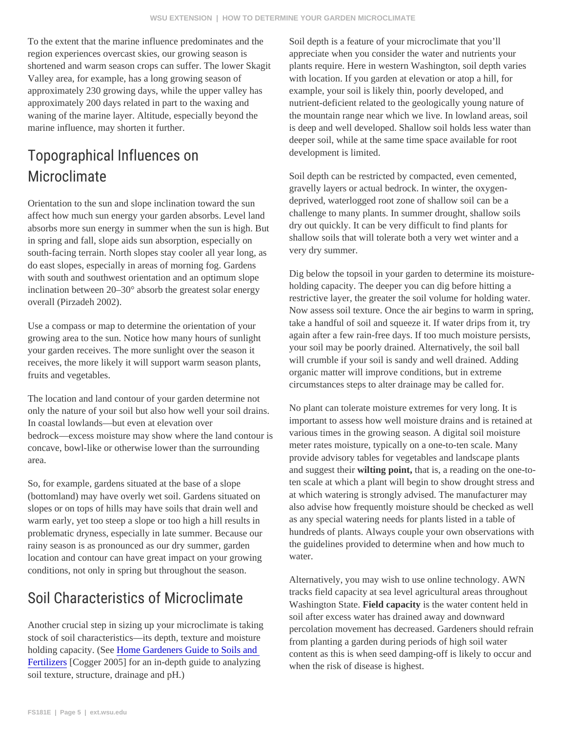To the extent that the marine influence predominates and the Soil depth is a feature of your microclimate that you'll region experiences overcast skies, our growing season is Valley area, for example, has a long growing season of approximately 230 growing days, while the upper valley has example, your soil is likely thin, poorly developed, and approximately 200 days related in part to the waxing and waning of the marine layer. Altitude, especially beyond the marine influence, may shorten it further.

# Topographical Influence sevel apprent is limited. Microclimate

Orientation to the sun and slope inclination toward the sun absorbs more sun energy in summer when the sun is high. Bety out quickly. It can be very difficult to find plants for in spring and fall, slope aids sun absorption, especially on south-facing terrain. North slopes stay cooler all year long, as very dry summer.

do east slopes, especially in areas of morning fog. Gardens with south and southwest orientation and an optimum slope inclination between 20–30° absorb the greatest solar energy holding capacity. The deeper you can dig before hitting a overall (Pirzadeh 2002).

Use a compass or map to determine the orientation of your growing area to the sun. Notice how many hours of sunlight your garden receives. The more sunlight over the season it receives, the more likely it will support warm season plants, fruits and vegetables.

The location and land contour of your garden determine not only the nature of your soil but also how well your soil drains. No plant can tolerate moisture extremes for very long. It is In coastal lowlands—but even at elevation over

concave, bowl-like or otherwise lower than the surrounding area.

So, for example, gardens situated at the base of a slope (bottomland) may have overly wet soil. Gardens situated on slopes or on tops of hills may have soils that drain well and warm early, yet too steep a slope or too high a hill results in rainy season is as pronounced as our dry summer, garden location and contour can have great impact on your growing water. conditions, not only in spring but throughout the season.

## Soil Characteristics of

Another crucial step in sizing up your microclimate is taking stock of soil characteristics—its depth, texture and moisture holding capacity. (Seldome Gardeners Guide to Soils and [Fertilizers](http://cru.cahe.wsu.edu/CEPublications/eb1971e/eb1971e.pdf) [Cogger 2005] for an in-depth guide to analyzing soil texture, structure, drainage and pH.)

shortened and warm season crops can suffer. The lower Skaglants require. Here in western Washington, soil depth varies appreciate when you consider the water and nutrients your with location. If you garden at elevation or atop a hill, for nutrient-deficient related to the geologically young nature of the mountain range near which we live. In lowland areas, soil is deep and well developed. Shallow soil holds less water than deeper soil, while at the same time space available for root

affect how much sun energy your garden absorbs. Level land<sup>challenge to many plants. In summer drought, shallow soils</sup> Soil depth can be restricted by compacted, even cemented, gravelly layers or actual bedrock. In winter, the oxygendeprived, waterlogged root zone of shallow soil can be a shallow soils that will tolerate both a very wet winter and a

> Dig below the topsoil in your garden to determine its moisturerestrictive layer, the greater the soil volume for holding water. Now assess soil texture. Once the air begins to warm in spring, take a handful of soil and squeeze it. If water drips from it, try again after a few rain-free days. If too much moisture persists, your soil may be poorly drained. Alternatively, the soil ball will crumble if your soil is sandy and well drained. Adding organic matter will improve conditions, but in extreme circumstances steps to alter drainage may be called for.

bedrock—excess moisture may show where the land contour<sup>y</sup>grious times in the growing season. A digital soil moisture problematic dryness, especially in late summer. Because ourhundreds of plants. Always couple your own observations with important to assess how well moisture drains and is retained at meter rates moisture, typically on a one-to-ten scale. Many provide advisory tables for vegetables and landscape plants and suggest their wilting point, that is, a reading on the one-toten scale at which a plant will begin to show drought stress and at which watering is strongly advised. The manufacturer may also advise how frequently moisture should be checked as well as any special watering needs for plants listed in a table of the guidelines provided to determine when and how much to

> Alternatively, you may wish to use online technology. AWN tracks field capacity at sea level agricultural areas throughout Washington State. Field capacity is the water content held in soil after excess water has drained away and downward percolation movement has decreased. Gardeners should refrain from planting a garden during periods of high soil water content as this is when seed damping-off is likely to occur and when the risk of disease is highest.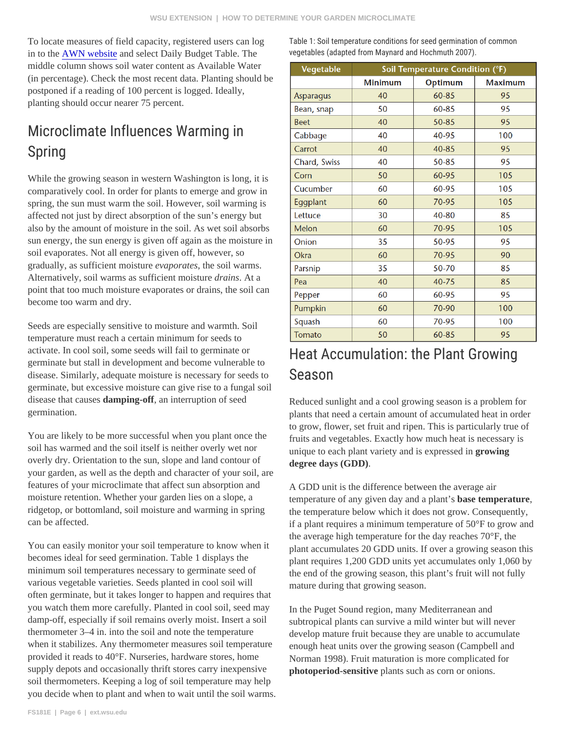To locate measures of field capacity, registered users can logTable 1: Soil temperature conditions for seed in to th[e AWN website](http://weather.wsu.edu/ism/) and select Daily Budget Table. The middle column shows soil water content as Available Water (in percentage). Check the most recent data. Planting should be postponed if a reading of 100 percent is logged. Ideally, planting should occur nearer 75 percent. vegetables (adapted from Maynard and Hochmu

# Microclimate Influences Warming in Spring

While the growing season in western Washington is long, it is comparatively cool. In order for plants to emerge and grow in spring, the sun must warm the soil. However, soil warming is affected not just by direct absorption of the sun's energy but also by the amount of moisture in the soil. As wet soil absorbs sun energy, the sun energy is given off again as the moisture in soil evaporates. Not all energy is given off, however, so gradually, as sufficient moisture aporates the soil warms. Alternatively, soil warms as sufficient moisture ins. At a point that too much moisture evaporates or drains, the soil can become too warm and dry.

Seeds are especially sensitive to moisture and warmth. Soil temperature must reach a certain minimum for seeds to activate. In cool soil, some seeds will fail to germinate or germinate but stall in development and become vulnerable to disease. Similarly, adequate moisture is necessary for seeds t $\delta$  e a s o n germinate, but excessive moisture can give rise to a fungal soil disease that causdamping-off, an interruption of seed germination.

You are likely to be more successful when you plant once the ruits and vegetables. Exactly how much heat is necessary is soil has warmed and the soil itself is neither overly wet nor overly dry. Orientation to the sun, slope and land contour of your garden, as well as the depth and character of your soil, are features of your microclimate that affect sun absorption and moisture retention. Whether your garden lies on a slope, a can be affected.

becomes ideal for seed germination. Table 1 displays the minimum soil temperatures necessary to germinate seed of various vegetable varieties. Seeds planted in cool soil will often germinate, but it takes longer to happen and requires that

# Heat Accumulation: the P

Reduced sunlight and a cool growing season is a problem for plants that need a certain amount of accumulated heat in order to grow, flower, set fruit and ripen. This is particularly true of

unique to each plant variety and is expressed in unique to each plant variety and is expressed in growing degree days (GDD).

ridgetop, or bottomland, soil moisture and warming in spring the temperature below which it does not grow. Consequently, You can easily monitor your soil temperature to know when it plant accumulates 20 GDD units. If over a growing season this A GDD unit is the difference between the average air temperature of any given day and a plablise temperature if a plant requires a minimum temperature of 50°F to grow and the average high temperature for the day reaches 70°F, the plant requires 1,200 GDD units yet accumulates only 1,060 by the end of the growing season, this plant's fruit will not fully mature during that growing season.

you watch them more carefully. Planted in cool soil, seed may<sub>n the</sub> Puget Sound region, many Mediterranean and damp-off, especially if soil remains overly moist. Insert a soil <sub>Subtropical plants can survive a mild winter but will never</sub> thermometer 3–4 in. into the soil and note the temperature when it stabilizes. Any thermometer measures soil temperaturn bugh heat units over the growing season (Campbell and provided it reads to 40°F. Nurseries, hardware stores, home Norman 1998). Fruit maturation is more complicated for supply depots and occasionally thrift stores carry inexpensive hotoperiod-sensitive plants such as corn or onions. soil thermometers. Keeping a log of soil temperature may help you decide when to plant and when to wait until the soil warms. develop mature fruit because they are unable to accumulate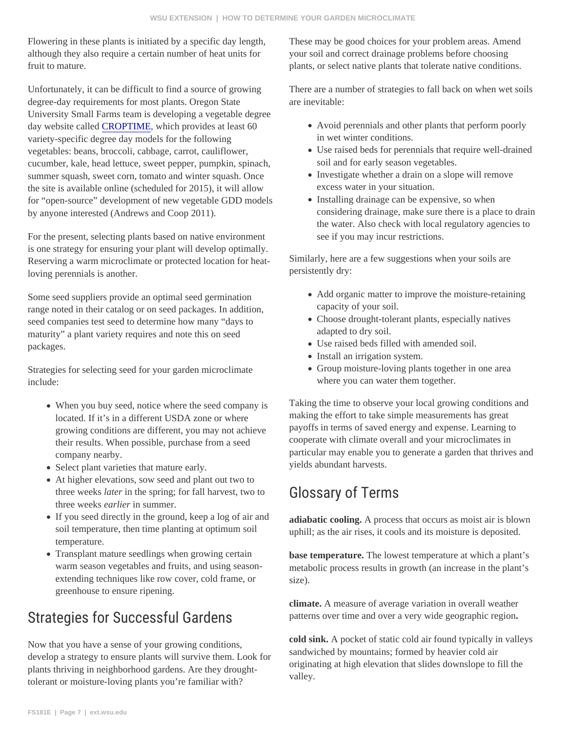Flowering in these plants is initiated by a specific day length, These may be good choices for your problem areas. Amend although they also require a certain number of heat units for your soil and correct drainage problems before choosing fruit to mature. plants, or select native plants that tolerate native conditions.

Unfortunately, it can be difficult to find a source of growing degree-day requirements for most plants. Oregon State University Small Farms team is developing a vegetable degree day website calle $@$ ROPTIME, which provides at least 60 variety-specific degree day models for the following vegetables: beans, broccoli, cabbage, carrot, cauliflower, cucumber, kale, head lettuce, sweet pepper, pumpkin, spinach, summer squash, sweet corn, tomato and winter squash. Once the site is available online (scheduled for 2015), it will allow for "open-source" development of new vegetable GDD models by anyone interested (Andrews and Coop 2011).

For the present, selecting plants based on native environment is one strategy for ensuring your plant will develop optimally. Reserving a warm microclimate or protected location for heatSimilarly, here are a few suggestions when your soils are loving perennials is another. persistently dry:

Some seed suppliers provide an optimal seed germination range noted in their catalog or on seed packages. In addition, seed companies test seed to determine how many "days to maturity" a plant variety requires and note this on seed packages.

Strategies for selecting seed for your garden microclimate include:

- When you buy seed, notice where the seed company  $i\overline{S}$ aking the time to observe your local growing conditions and located. If it's in a different USDA zone or where growing conditions are different, you may not achieve their results. When possible, purchase from a seed company nearby.
- Select plant varieties that mature early.
- At higher elevations, sow seed and plant out two to three weekstaer in the spring; for fall harvest, two to three weeksarlier in summer.
- If you seed directly in the ground, keep a log of air and<sub>adiabatic cooling. A process that occurs as moist air is blown</sub> soil temperature, then time planting at optimum soil temperature. uphill; as the air rises, it cools and its moisture is deposited.
- Transplant mature seedlings when growing certain warm season vegetables and fruits, and using seasor extending techniques like row cover, cold frame, or greenhouse to ensure ripening. base temperature. The lowest temperature at which a plant's metabolic process results in growth (an increase in the plant's size).

#### Strategies for Successfuaterns overting learna very wide geographic region

Now that you have a sense of your growing conditions, develop a strategy to ensure plants will survive them. Look for sandwiched by mountains; formed by heavier cold air plants thriving in neighborhood gardens. Are they droughttolerant or moisture-loving plants you're familiar with?

There are a number of strategies to fall back on when wet soils are inevitable:

- Avoid perennials and other plants that perform poorly in wet winter conditions.
- Use raised beds for perennials that require well-drained soil and for early season vegetables.
- Investigate whether a drain on a slope will remove excess water in your situation.
- Installing drainage can be expensive, so when considering drainage, make sure there is a place to drain the water. Also check with local regulatory agencies to see if you may incur restrictions.
- Add organic matter to improve the moisture-retaining capacity of your soil.
- Choose drought-tolerant plants, especially natives adapted to dry soil.
- Use raised beds filled with amended soil.
- Install an irrigation system.
- Group moisture-loving plants together in one area where you can water them together.

making the effort to take simple measurements has great payoffs in terms of saved energy and expense. Learning to cooperate with climate overall and your microclimates in particular may enable you to generate a garden that thrives and yields abundant harvests.

## Glossary of Terms

climate. A measure of average variation in overall weather

cold sink. A pocket of static cold air found typically in valleys originating at high elevation that slides downslope to fill the valley.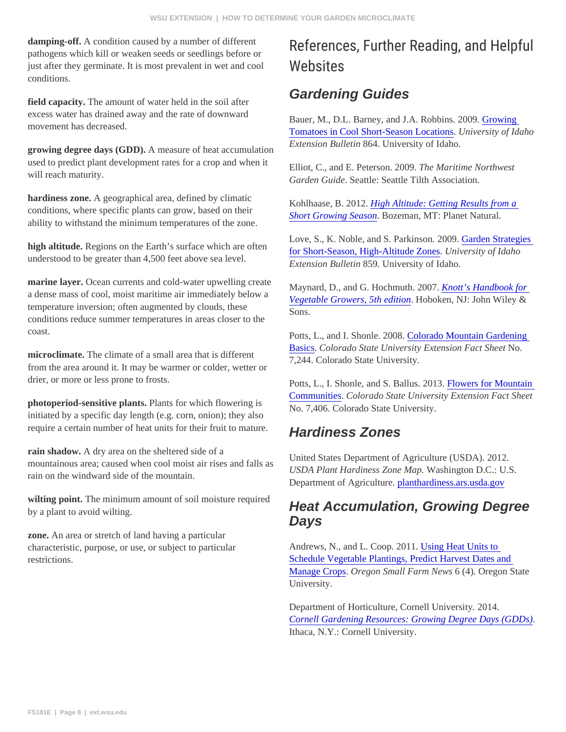| damping-off. A condition caused by a number of different<br>pathogens which kill or weaken seeds or seedlings before or<br>just after they germinate. It is most prevalent in wet and cool<br>conditions.                                                                                                                                                                                                                                                                                                                                                 | References, Further Read<br>Websites                                                                                                                                                |
|-----------------------------------------------------------------------------------------------------------------------------------------------------------------------------------------------------------------------------------------------------------------------------------------------------------------------------------------------------------------------------------------------------------------------------------------------------------------------------------------------------------------------------------------------------------|-------------------------------------------------------------------------------------------------------------------------------------------------------------------------------------|
| field capacity. The amount of water held in the soil after<br>excess water has drained away and the rate of downward<br>movement has decreased.                                                                                                                                                                                                                                                                                                                                                                                                           | <b>Gardening Guides</b>                                                                                                                                                             |
|                                                                                                                                                                                                                                                                                                                                                                                                                                                                                                                                                           | Bauer, M., D.L. Barney, and J.A. Robbins. 2009bowing<br>Tomatoes in Cool Short-Season Locatidusiversity of Idaho                                                                    |
| growing degree days (GDD)A measure of heat accumulation<br>used to predict plant development rates for a crop and when $\frac{t}{b}$ lliot, C., and E. Peterson. 2009 he Maritime Northwest<br>will reach maturity.                                                                                                                                                                                                                                                                                                                                       | Extension Bulletin864. University of Idaho.                                                                                                                                         |
|                                                                                                                                                                                                                                                                                                                                                                                                                                                                                                                                                           | Garden GuideSeattle: Seattle Tilth Association.                                                                                                                                     |
| hardiness zoneA geographical area, defined by climatic<br>conditions, where specific plants can grow, based on their<br>ability to withstand the minimum temperatures of the zone.                                                                                                                                                                                                                                                                                                                                                                        | Kohlhaase, B. 2012High Altitude: Getting Results from a<br>Short Growing Seaso Bozeman, MT: Planet Natural.                                                                         |
| high altitude. Regions on the Earth's surface which are often<br>understood to be greater than 4,500 feet above sea level.                                                                                                                                                                                                                                                                                                                                                                                                                                | Love, S., K. Noble, and S. Parkinson. 20Garden Strategies<br>for Short-Season, High-Altitude Zoneshiversity of Idaho<br>Extension Bulletin859. University of Idaho.                 |
| marine layer. Ocean currents and cold-water upwelling create Maynard, D., and G. Hochmuth. 200 Mott's Handbook for<br>a dense mass of cool, moist maritime air immediately below avenues of conversion edition Hoboken, NJ: John Wiley &<br>temperature inversion; often augmented by clouds, these<br>conditions reduce summer temperatures in areas closer to the<br>coast.<br>microclimate. The climate of a small area that is different<br>from the area around it. It may be warmer or colder, wetter or<br>drier, or more or less prone to frosts. | Sons.                                                                                                                                                                               |
|                                                                                                                                                                                                                                                                                                                                                                                                                                                                                                                                                           | Potts, L., and I. Shonle. 2008olorado Mountain Gardening<br>Basics Colorado State University Extension Fact Sheet<br>7,244. Colorado State University.                              |
|                                                                                                                                                                                                                                                                                                                                                                                                                                                                                                                                                           | Potts, L., I. Shonle, and S. Ballus. 20FF wers for Mountain                                                                                                                         |
| photoperiod-sensitive plants Plants for which flowering is<br>initiated by a specific day length (e.g. corn, onion); they also                                                                                                                                                                                                                                                                                                                                                                                                                            | <b>CommunitiesColorado State University Extension Fact Sheet</b><br>No. 7,406 Colorado State University.                                                                            |
| require a certain number of heat units for their fruit to mature. Hardiness Zones                                                                                                                                                                                                                                                                                                                                                                                                                                                                         |                                                                                                                                                                                     |
| rain shadow. A dry area on the sheltered side of a<br>mountainous area; caused when cool moist air rises and falls as DA Plant Hardiness Zone Map/ashington D.C.: U.S.<br>rain on the windward side of the mountain.                                                                                                                                                                                                                                                                                                                                      | United States Department of Agriculture (USDA). 2012.<br>Department of Agricultureplanthardiness.ars.usda.gov                                                                       |
| wilting point. The minimum amount of soil moisture required<br>by a plant to avoid wilting.                                                                                                                                                                                                                                                                                                                                                                                                                                                               | <b>Heat Accumulation, Growing Degree</b><br>Days                                                                                                                                    |
| zone. An area or stretch of land having a particular<br>characteristic, purpose, or use, or subject to particular<br>restrictions.                                                                                                                                                                                                                                                                                                                                                                                                                        | Andrews, N., and L. Coop. 2010 sing Heat Units to<br>Schedule Vegetable Plantings, Predict Harvest Dates and<br>Manage CropsOregon Small Farm New® (4). Oregon State<br>University. |
|                                                                                                                                                                                                                                                                                                                                                                                                                                                                                                                                                           | Department of Horticulture, Cornell University. 2014.<br><b>Cornell Gardening Resources: Growing Degree Days (GDDs)</b><br>Ithaca, N.Y.: Cornell University.                        |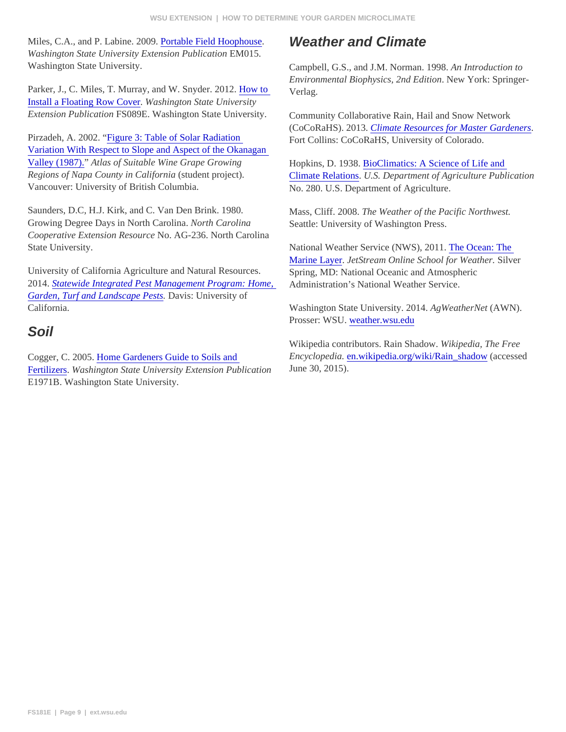| Miles, C.A., and P. Labine. 200 <b>9</b> ortable Field Hoophouse<br>Washington State University Extension Publication015.                                              | <b>Weather and Climate</b>                                                                                                                                     |
|------------------------------------------------------------------------------------------------------------------------------------------------------------------------|----------------------------------------------------------------------------------------------------------------------------------------------------------------|
| Washington State University.                                                                                                                                           | Campbell, G.S., and J.M. Norman. 1998. Introduction to<br>Environmental Biophysics, 2nd EditidNew York: Springer-                                              |
| Parker, J., C. Miles, T. Murray, and W. Snyder. 2012w to<br>Install a Floating Row CoveWashington State University                                                     | Verlag.                                                                                                                                                        |
| Extension Publication S089E. Washington State University.                                                                                                              | Community Collaborative Rain, Hail and Snow Network<br>(CoCoRaHS). 2013Climate Resources for Master Gardeners                                                  |
| Pirzadeh, A. 2002. Figure 3: Table of Solar Radiation<br>Variation With Respect to Slope and Aspect of the Okanagan                                                    | Fort Collins: CoCoRaHS, University of Colorado.                                                                                                                |
| Valley (1987)". Atlas of Suitable Wine Grape Growing<br>Regions of Napa County in Californ (atudent project).<br>Vancouver: University of British Columbia.            | Hopkins, D. 1938BioClimatics: A Science of Life and<br>Climate RelationsU.S. Department of Agriculture Publication<br>No. 280. U.S. Department of Agriculture. |
| Saunders, D.C, H.J. Kirk, and C. Van Den Brink. 1980.<br>Growing Degree Days in North Carolin Morth Carolina<br>Cooperative Extension Resourde. AG-236. North Carolina | Mass, Cliff. 2008. The Weather of the Pacific Northwest.<br>Seattle: University of Washington Press.                                                           |
| State University.                                                                                                                                                      | National Weather Service (NWS), 20The Ocean: The<br>Marine Layer JetStream Online School for WeathBilver                                                       |
| University of California Agriculture and Natural Resources.<br>2014. Statewide Integrated Pest Management Program: Hom&dministration's National Weather Service.       | Spring, MD: National Oceanic and Atmospheric                                                                                                                   |
| Garden, Turf and Landscape Pestavis: University of<br>California.                                                                                                      | Washington State University. 2014 gWeather Nie (AWN).                                                                                                          |
| Soil                                                                                                                                                                   | Prosser: WSUweather.wsu.edu                                                                                                                                    |
|                                                                                                                                                                        | Wikipedia contributors. Rain ShadoWikipedia, The Free                                                                                                          |
| Cogger, C. 2005. Iome Gardeners Guide to Soils and                                                                                                                     | Encyclopediaen.wikipedia.org/wiki/Rain_shado(accessed                                                                                                          |

Fertilizers Washington State University Extension Publication E1971B. Washington State University. June 30, 2015).